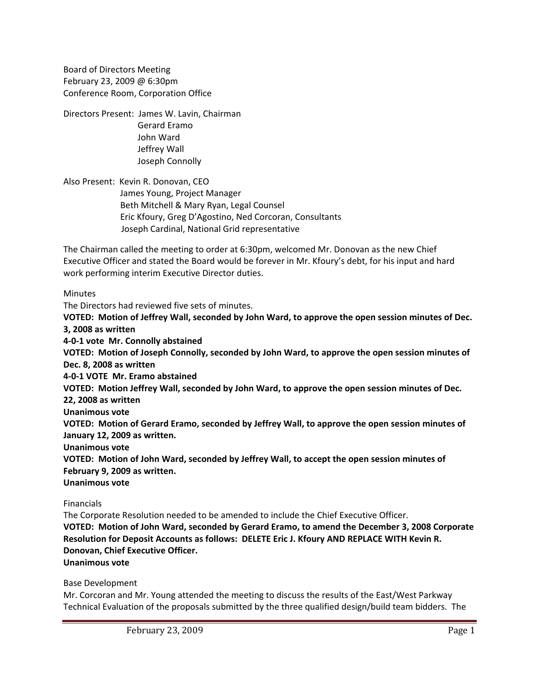Board of Directors Meeting February 23, 2009 @ 6:30pm Conference Room, Corporation Office

Directors Present: James W. Lavin, Chairman Gerard Eramo John Ward Jeffrey Wall Joseph Connolly

Also Present: Kevin R. Donovan, CEO James Young, Project Manager Beth Mitchell & Mary Ryan, Legal Counsel Eric Kfoury, Greg D'Agostino, Ned Corcoran, Consultants Joseph Cardinal, National Grid representative

The Chairman called the meeting to order at 6:30pm, welcomed Mr. Donovan as the new Chief Executive Officer and stated the Board would be forever in Mr. Kfoury's debt, for his input and hard work performing interim Executive Director duties.

Minutes

The Directors had reviewed five sets of minutes.

**VOTED: Motion of Jeffrey Wall, seconded by John Ward, to approve the open session minutes of Dec. 3, 2008 as written**

**4‐0‐1 vote Mr. Connolly abstained**

**VOTED: Motion of Joseph Connolly, seconded by John Ward, to approve the open session minutes of Dec. 8, 2008 as written**

**4‐0‐1 VOTE Mr. Eramo abstained**

**VOTED: Motion Jeffrey Wall, seconded by John Ward, to approve the open session minutes of Dec.**

**22, 2008 as written**

**Unanimous vote**

**VOTED: Motion of Gerard Eramo, seconded by Jeffrey Wall, to approve the open session minutes of January 12, 2009 as written.**

**Unanimous vote**

**VOTED: Motion of John Ward, seconded by Jeffrey Wall, to accept the open session minutes of February 9, 2009 as written.**

**Unanimous vote**

Financials

The Corporate Resolution needed to be amended to include the Chief Executive Officer. **VOTED: Motion of John Ward, seconded by Gerard Eramo, to amend the December 3, 2008 Corporate Resolution for Deposit Accounts as follows: DELETE Eric J. Kfoury AND REPLACE WITH Kevin R. Donovan, Chief Executive Officer.**

**Unanimous vote**

Base Development

Mr. Corcoran and Mr. Young attended the meeting to discuss the results of the East/West Parkway Technical Evaluation of the proposals submitted by the three qualified design/build team bidders. The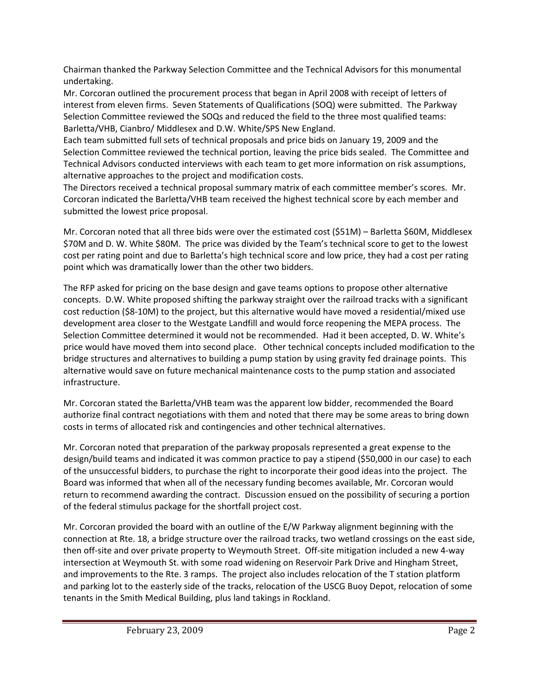Chairman thanked the Parkway Selection Committee and the Technical Advisors for this monumental undertaking.

Mr. Corcoran outlined the procurement process that began in April 2008 with receipt of letters of interest from eleven firms. Seven Statements of Qualifications (SOQ) were submitted. The Parkway Selection Committee reviewed the SOQs and reduced the field to the three most qualified teams: Barletta/VHB, Cianbro/ Middlesex and D.W. White/SPS New England.

Each team submitted full sets of technical proposals and price bids on January 19, 2009 and the Selection Committee reviewed the technical portion, leaving the price bids sealed. The Committee and Technical Advisors conducted interviews with each team to get more information on risk assumptions, alternative approaches to the project and modification costs.

The Directors received a technical proposal summary matrix of each committee member's scores. Mr. Corcoran indicated the Barletta/VHB team received the highest technical score by each member and submitted the lowest price proposal.

Mr. Corcoran noted that all three bids were over the estimated cost (\$51M) – Barletta \$60M, Middlesex \$70M and D. W. White \$80M. The price was divided by the Team's technical score to get to the lowest cost per rating point and due to Barletta's high technical score and low price, they had a cost per rating point which was dramatically lower than the other two bidders.

The RFP asked for pricing on the base design and gave teams options to propose other alternative concepts. D.W. White proposed shifting the parkway straight over the railroad tracks with a significant cost reduction (\$8‐10M) to the project, but this alternative would have moved a residential/mixed use development area closer to the Westgate Landfill and would force reopening the MEPA process. The Selection Committee determined it would not be recommended. Had it been accepted, D. W. White's price would have moved them into second place. Other technical concepts included modification to the bridge structures and alternatives to building a pump station by using gravity fed drainage points. This alternative would save on future mechanical maintenance costs to the pump station and associated infrastructure.

Mr. Corcoran stated the Barletta/VHB team was the apparent low bidder, recommended the Board authorize final contract negotiations with them and noted that there may be some areas to bring down costs in terms of allocated risk and contingencies and other technical alternatives.

Mr. Corcoran noted that preparation of the parkway proposals represented a great expense to the design/build teams and indicated it was common practice to pay a stipend (\$50,000 in our case) to each of the unsuccessful bidders, to purchase the right to incorporate their good ideas into the project. The Board was informed that when all of the necessary funding becomes available, Mr. Corcoran would return to recommend awarding the contract. Discussion ensued on the possibility of securing a portion of the federal stimulus package for the shortfall project cost.

Mr. Corcoran provided the board with an outline of the E/W Parkway alignment beginning with the connection at Rte. 18, a bridge structure over the railroad tracks, two wetland crossings on the east side, then off‐site and over private property to Weymouth Street. Off‐site mitigation included a new 4‐way intersection at Weymouth St. with some road widening on Reservoir Park Drive and Hingham Street, and improvements to the Rte. 3 ramps. The project also includes relocation of the T station platform and parking lot to the easterly side of the tracks, relocation of the USCG Buoy Depot, relocation of some tenants in the Smith Medical Building, plus land takings in Rockland.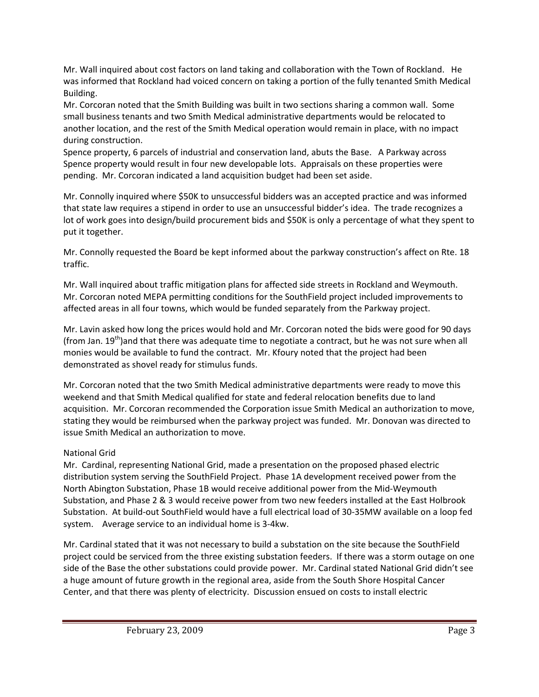Mr. Wall inquired about cost factors on land taking and collaboration with the Town of Rockland. He was informed that Rockland had voiced concern on taking a portion of the fully tenanted Smith Medical Building.

Mr. Corcoran noted that the Smith Building was built in two sections sharing a common wall. Some small business tenants and two Smith Medical administrative departments would be relocated to another location, and the rest of the Smith Medical operation would remain in place, with no impact during construction.

Spence property, 6 parcels of industrial and conservation land, abuts the Base. A Parkway across Spence property would result in four new developable lots. Appraisals on these properties were pending. Mr. Corcoran indicated a land acquisition budget had been set aside.

Mr. Connolly inquired where \$50K to unsuccessful bidders was an accepted practice and was informed that state law requires a stipend in order to use an unsuccessful bidder's idea. The trade recognizes a lot of work goes into design/build procurement bids and \$50K is only a percentage of what they spent to put it together.

Mr. Connolly requested the Board be kept informed about the parkway construction's affect on Rte. 18 traffic.

Mr. Wall inquired about traffic mitigation plans for affected side streets in Rockland and Weymouth. Mr. Corcoran noted MEPA permitting conditions for the SouthField project included improvements to affected areas in all four towns, which would be funded separately from the Parkway project.

Mr. Lavin asked how long the prices would hold and Mr. Corcoran noted the bids were good for 90 days (from Jan.  $19^{th}$ )and that there was adequate time to negotiate a contract, but he was not sure when all monies would be available to fund the contract. Mr. Kfoury noted that the project had been demonstrated as shovel ready for stimulus funds.

Mr. Corcoran noted that the two Smith Medical administrative departments were ready to move this weekend and that Smith Medical qualified for state and federal relocation benefits due to land acquisition. Mr. Corcoran recommended the Corporation issue Smith Medical an authorization to move, stating they would be reimbursed when the parkway project was funded. Mr. Donovan was directed to issue Smith Medical an authorization to move.

## National Grid

Mr. Cardinal, representing National Grid, made a presentation on the proposed phased electric distribution system serving the SouthField Project. Phase 1A development received power from the North Abington Substation, Phase 1B would receive additional power from the Mid‐Weymouth Substation, and Phase 2 & 3 would receive power from two new feeders installed at the East Holbrook Substation. At build‐out SouthField would have a full electrical load of 30‐35MW available on a loop fed system. Average service to an individual home is 3-4kw.

Mr. Cardinal stated that it was not necessary to build a substation on the site because the SouthField project could be serviced from the three existing substation feeders. If there was a storm outage on one side of the Base the other substations could provide power. Mr. Cardinal stated National Grid didn't see a huge amount of future growth in the regional area, aside from the South Shore Hospital Cancer Center, and that there was plenty of electricity. Discussion ensued on costs to install electric